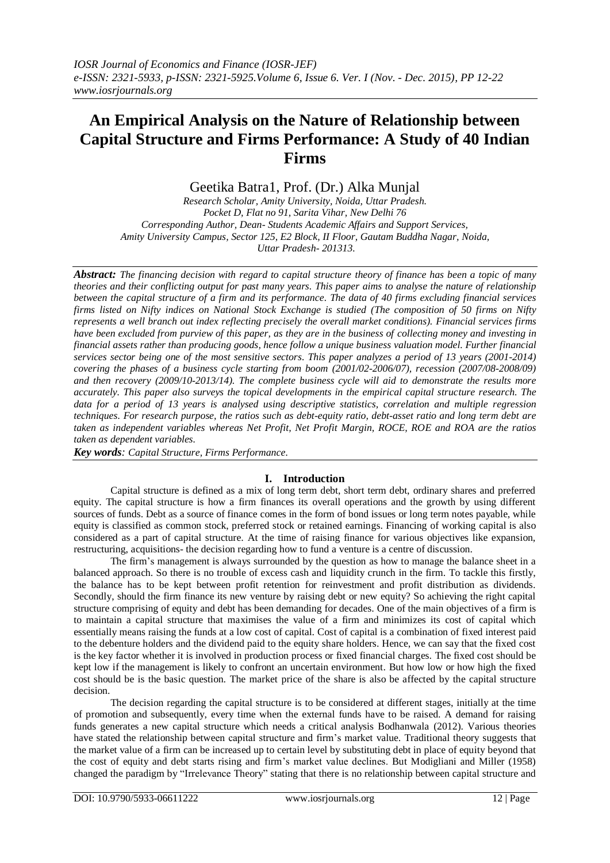# **An Empirical Analysis on the Nature of Relationship between Capital Structure and Firms Performance: A Study of 40 Indian Firms**

Geetika Batra1, Prof. (Dr.) Alka Munjal

*Research Scholar, Amity University, Noida, Uttar Pradesh. Pocket D, Flat no 91, Sarita Vihar, New Delhi 76 Corresponding Author, Dean- Students Academic Affairs and Support Services, Amity University Campus, Sector 125, E2 Block, II Floor, Gautam Buddha Nagar, Noida, Uttar Pradesh- 201313.* 

*Abstract: The financing decision with regard to capital structure theory of finance has been a topic of many theories and their conflicting output for past many years. This paper aims to analyse the nature of relationship between the capital structure of a firm and its performance. The data of 40 firms excluding financial services firms listed on Nifty indices on National Stock Exchange is studied (The composition of 50 firms on Nifty represents a well branch out index reflecting precisely the overall market conditions). Financial services firms have been excluded from purview of this paper, as they are in the business of collecting money and investing in financial assets rather than producing goods, hence follow a unique business valuation model. Further financial services sector being one of the most sensitive sectors. This paper analyzes a period of 13 years (2001-2014) covering the phases of a business cycle starting from boom (2001/02-2006/07), recession (2007/08-2008/09) and then recovery (2009/10-2013/14). The complete business cycle will aid to demonstrate the results more accurately. This paper also surveys the topical developments in the empirical capital structure research. The*  data for a period of 13 years is analysed using descriptive statistics, correlation and multiple *regression techniques. For research purpose, the ratios such as debt-equity ratio, debt-asset ratio and long term debt are taken as independent variables whereas Net Profit, Net Profit Margin, ROCE, ROE and ROA are the ratios taken as dependent variables.*

*Key words: Capital Structure, Firms Performance.*

# **I. Introduction**

Capital structure is defined as a mix of long term debt, short term debt, ordinary shares and preferred equity. The capital structure is how a firm finances its overall operations and the growth by using different sources of funds. Debt as a source of finance comes in the form of bond issues or long term notes payable, while equity is classified as common stock, preferred stock or retained earnings. Financing of working capital is also considered as a part of capital structure. At the time of raising finance for various objectives like expansion, restructuring, acquisitions- the decision regarding how to fund a venture is a centre of discussion.

The firm"s management is always surrounded by the question as how to manage the balance sheet in a balanced approach. So there is no trouble of excess cash and liquidity crunch in the firm. To tackle this firstly, the balance has to be kept between profit retention for reinvestment and profit distribution as dividends. Secondly, should the firm finance its new venture by raising debt or new equity? So achieving the right capital structure comprising of equity and debt has been demanding for decades. One of the main objectives of a firm is to maintain a capital structure that maximises the value of a firm and minimizes its cost of capital which essentially means raising the funds at a low cost of capital. Cost of capital is a combination of fixed interest paid to the debenture holders and the dividend paid to the equity share holders. Hence, we can say that the fixed cost is the key factor whether it is involved in production process or fixed financial charges. The fixed cost should be kept low if the management is likely to confront an uncertain environment. But how low or how high the fixed cost should be is the basic question. The market price of the share is also be affected by the capital structure decision.

The decision regarding the capital structure is to be considered at different stages, initially at the time of promotion and subsequently, every time when the external funds have to be raised. A demand for raising funds generates a new capital structure which needs a critical analysis Bodhanwala (2012). Various theories have stated the relationship between capital structure and firm"s market value. Traditional theory suggests that the market value of a firm can be increased up to certain level by substituting debt in place of equity beyond that the cost of equity and debt starts rising and firm"s market value declines. But Modigliani and Miller (1958) changed the paradigm by "Irrelevance Theory" stating that there is no relationship between capital structure and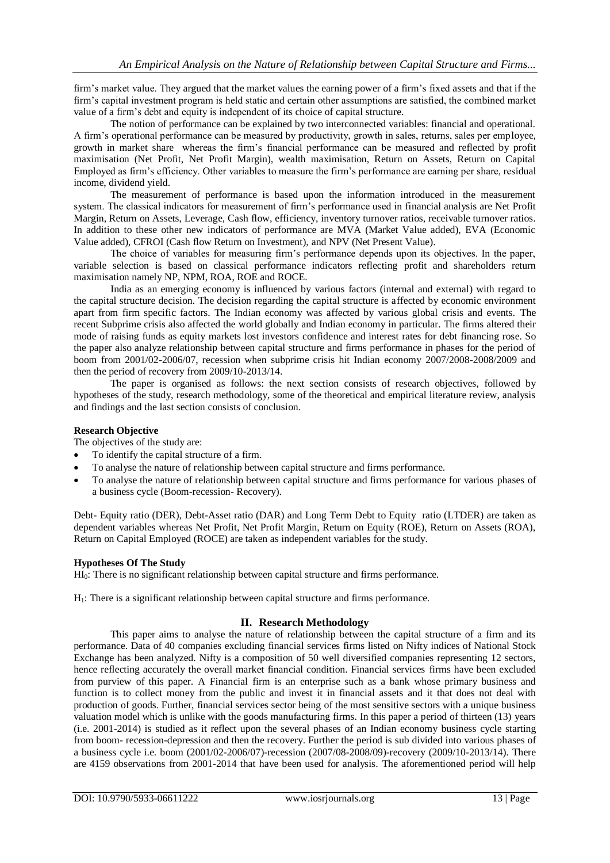firm"s market value. They argued that the market values the earning power of a firm"s fixed assets and that if the firm"s capital investment program is held static and certain other assumptions are satisfied, the combined market value of a firm"s debt and equity is independent of its choice of capital structure.

The notion of performance can be explained by two interconnected variables: financial and operational. A firm"s operational performance can be measured by productivity, growth in sales, returns, sales per employee, growth in market share whereas the firm"s financial performance can be measured and reflected by profit maximisation (Net Profit, Net Profit Margin), wealth maximisation, Return on Assets, Return on Capital Employed as firm"s efficiency. Other variables to measure the firm"s performance are earning per share, residual income, dividend yield.

The measurement of performance is based upon the information introduced in the measurement system. The classical indicators for measurement of firm"s performance used in financial analysis are Net Profit Margin, Return on Assets, Leverage, Cash flow, efficiency, inventory turnover ratios, receivable turnover ratios. In addition to these other new indicators of performance are MVA (Market Value added), EVA (Economic Value added), CFROI (Cash flow Return on Investment), and NPV (Net Present Value).

The choice of variables for measuring firm"s performance depends upon its objectives. In the paper, variable selection is based on classical performance indicators reflecting profit and shareholders return maximisation namely NP, NPM, ROA, ROE and ROCE.

India as an emerging economy is influenced by various factors (internal and external) with regard to the capital structure decision. The decision regarding the capital structure is affected by economic environment apart from firm specific factors. The Indian economy was affected by various global crisis and events. The recent Subprime crisis also affected the world globally and Indian economy in particular. The firms altered their mode of raising funds as equity markets lost investors confidence and interest rates for debt financing rose. So the paper also analyze relationship between capital structure and firms performance in phases for the period of boom from 2001/02-2006/07, recession when subprime crisis hit Indian economy 2007/2008-2008/2009 and then the period of recovery from 2009/10-2013/14.

The paper is organised as follows: the next section consists of research objectives, followed by hypotheses of the study, research methodology, some of the theoretical and empirical literature review, analysis and findings and the last section consists of conclusion.

## **Research Objective**

The objectives of the study are:

- To identify the capital structure of a firm.
- To analyse the nature of relationship between capital structure and firms performance.
- To analyse the nature of relationship between capital structure and firms performance for various phases of a business cycle (Boom-recession- Recovery).

Debt- Equity ratio (DER), Debt-Asset ratio (DAR) and Long Term Debt to Equity ratio (LTDER) are taken as dependent variables whereas Net Profit, Net Profit Margin, Return on Equity (ROE), Return on Assets (ROA), Return on Capital Employed (ROCE) are taken as independent variables for the study.

## **Hypotheses Of The Study**

HI<sub>0</sub>: There is no significant relationship between capital structure and firms performance.

 $H_1$ : There is a significant relationship between capital structure and firms performance.

# **II. Research Methodology**

This paper aims to analyse the nature of relationship between the capital structure of a firm and its performance. Data of 40 companies excluding financial services firms listed on Nifty indices of National Stock Exchange has been analyzed. Nifty is a composition of 50 well diversified companies representing 12 sectors, hence reflecting accurately the overall market financial condition. Financial services firms have been excluded from purview of this paper. A Financial firm is an enterprise such as a bank whose primary business and function is to collect money from the public and invest it in financial assets and it that does not deal with production of goods. Further, financial services sector being of the most sensitive sectors with a unique business valuation model which is unlike with the goods manufacturing firms. In this paper a period of thirteen (13) years (i.e. 2001-2014) is studied as it reflect upon the several phases of an Indian economy business cycle starting from boom- recession-depression and then the recovery. Further the period is sub divided into various phases of a business cycle i.e. boom (2001/02-2006/07)-recession (2007/08-2008/09)-recovery (2009/10-2013/14). There are 4159 observations from 2001-2014 that have been used for analysis. The aforementioned period will help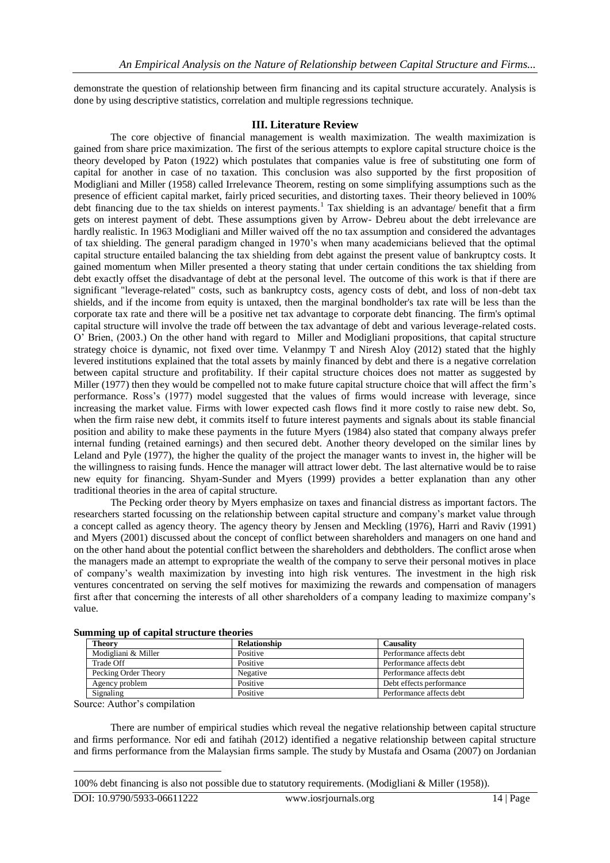demonstrate the question of relationship between firm financing and its capital structure accurately. Analysis is done by using descriptive statistics, correlation and multiple regressions technique.

# **III. Literature Review**

The core objective of financial management is wealth maximization. The wealth maximization is gained from share price maximization. The first of the serious attempts to explore capital structure choice is the theory developed by Paton (1922) which postulates that companies value is free of substituting one form of capital for another in case of no taxation. This conclusion was also supported by the first proposition of Modigliani and Miller (1958) called Irrelevance Theorem, resting on some simplifying assumptions such as the presence of efficient capital market, fairly priced securities, and distorting taxes. Their theory believed in 100% debt financing due to the tax shields on interest payments.<sup>1</sup> Tax shielding is an advantage/ benefit that a firm gets on interest payment of debt. These assumptions given by Arrow- Debreu about the debt irrelevance are hardly realistic. In 1963 Modigliani and Miller waived off the no tax assumption and considered the advantages of tax shielding. The general paradigm changed in 1970"s when many academicians believed that the optimal capital structure entailed balancing the tax shielding from debt against the present value of bankruptcy costs. It gained momentum when Miller presented a theory stating that under certain conditions the tax shielding from debt exactly offset the disadvantage of debt at the personal level. The outcome of this work is that if there are significant "leverage-related" costs, such as bankruptcy costs, agency costs of debt, and loss of non-debt tax shields, and if the income from equity is untaxed, then the marginal bondholder's tax rate will be less than the corporate tax rate and there will be a positive net tax advantage to corporate debt financing. The firm's optimal capital structure will involve the trade off between the tax advantage of debt and various leverage-related costs. O" Brien, (2003.) On the other hand with regard to Miller and Modigliani propositions, that capital structure strategy choice is dynamic, not fixed over time. Velanmpy T and Niresh Aloy (2012) stated that the highly levered institutions explained that the total assets by mainly financed by debt and there is a negative correlation between capital structure and profitability. If their capital structure choices does not matter as suggested by Miller (1977) then they would be compelled not to make future capital structure choice that will affect the firm"s performance. Ross"s (1977) model suggested that the values of firms would increase with leverage, since increasing the market value. Firms with lower expected cash flows find it more costly to raise new debt. So, when the firm raise new debt, it commits itself to future interest payments and signals about its stable financial position and ability to make these payments in the future Myers (1984) also stated that company always prefer internal funding (retained earnings) and then secured debt. Another theory developed on the similar lines by Leland and Pyle (1977), the higher the quality of the project the manager wants to invest in, the higher will be the willingness to raising funds. Hence the manager will attract lower debt. The last alternative would be to raise new equity for financing. Shyam-Sunder and Myers (1999) provides a better explanation than any other traditional theories in the area of capital structure.

The Pecking order theory by Myers emphasize on taxes and financial distress as important factors. The researchers started focussing on the relationship between capital structure and company"s market value through a concept called as agency theory. The agency theory by Jensen and Meckling (1976), Harri and Raviv (1991) and Myers (2001) discussed about the concept of conflict between shareholders and managers on one hand and on the other hand about the potential conflict between the shareholders and debtholders. The conflict arose when the managers made an attempt to expropriate the wealth of the company to serve their personal motives in place of company"s wealth maximization by investing into high risk ventures. The investment in the high risk ventures concentrated on serving the self motives for maximizing the rewards and compensation of managers first after that concerning the interests of all other shareholders of a company leading to maximize company"s value.

| <b>Theory</b>        | <b>Relationship</b> | Causality                |  |  |  |  |  |  |
|----------------------|---------------------|--------------------------|--|--|--|--|--|--|
| Modigliani & Miller  | Positive            | Performance affects debt |  |  |  |  |  |  |
| Trade Off            | Positive            | Performance affects debt |  |  |  |  |  |  |
| Pecking Order Theory | Negative            | Performance affects debt |  |  |  |  |  |  |
| Agency problem       | Positive            | Debt effects performance |  |  |  |  |  |  |
| Signaling            | Positive            | Performance affects debt |  |  |  |  |  |  |

Source: Author"s compilation

There are number of empirical studies which reveal the negative relationship between capital structure and firms performance. Nor edi and fatihah (2012) identified a negative relationship between capital structure and firms performance from the Malaysian firms sample. The study by Mustafa and Osama (2007) on Jordanian

1

<sup>100%</sup> debt financing is also not possible due to statutory requirements. (Modigliani & Miller (1958)).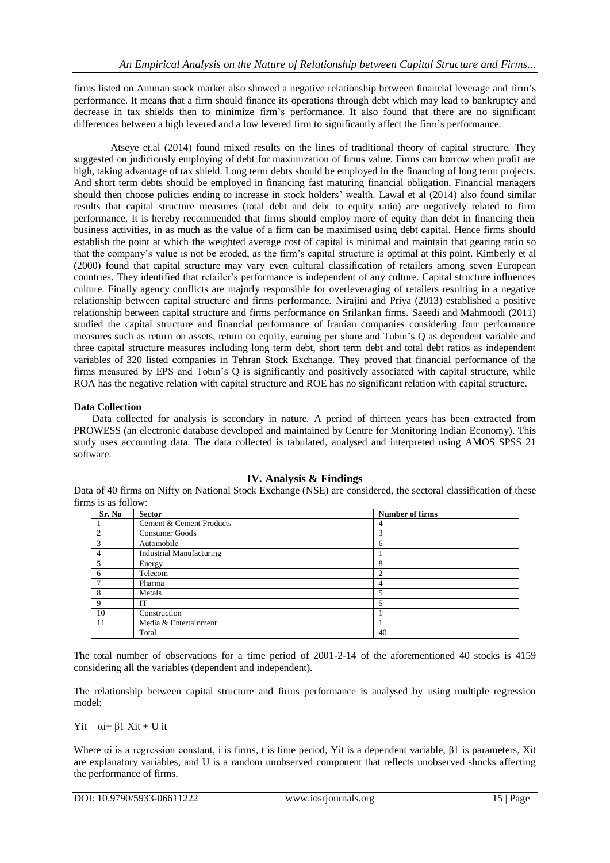firms listed on Amman stock market also showed a negative relationship between financial leverage and firm"s performance. It means that a firm should finance its operations through debt which may lead to bankruptcy and decrease in tax shields then to minimize firm"s performance. It also found that there are no significant differences between a high levered and a low levered firm to significantly affect the firm"s performance.

Atseye et.al (2014) found mixed results on the lines of traditional theory of capital structure. They suggested on judiciously employing of debt for maximization of firms value. Firms can borrow when profit are high, taking advantage of tax shield. Long term debts should be employed in the financing of long term projects. And short term debts should be employed in financing fast maturing financial obligation. Financial managers should then choose policies ending to increase in stock holders' wealth. Lawal et al (2014) also found similar results that capital structure measures (total debt and debt to equity ratio) are negatively related to firm performance. It is hereby recommended that firms should employ more of equity than debt in financing their business activities, in as much as the value of a firm can be maximised using debt capital. Hence firms should establish the point at which the weighted average cost of capital is minimal and maintain that gearing ratio so that the company"s value is not be eroded, as the firm"s capital structure is optimal at this point. Kimberly et al (2000) found that capital structure may vary even cultural classification of retailers among seven European countries. They identified that retailer"s performance is independent of any culture. Capital structure influences culture. Finally agency conflicts are majorly responsible for overleveraging of retailers resulting in a negative relationship between capital structure and firms performance. Nirajini and Priya (2013) established a positive relationship between capital structure and firms performance on Srilankan firms. Saeedi and Mahmoodi (2011) studied the capital structure and financial performance of Iranian companies considering four performance measures such as return on assets, return on equity, earning per share and Tobin"s Q as dependent variable and three capital structure measures including long term debt, short term debt and total debt ratios as independent variables of 320 listed companies in Tehran Stock Exchange. They proved that financial performance of the firms measured by EPS and Tobin"s Q is significantly and positively associated with capital structure, while ROA has the negative relation with capital structure and ROE has no significant relation with capital structure.

## **Data Collection**

Data collected for analysis is secondary in nature. A period of thirteen years has been extracted from PROWESS (an electronic database developed and maintained by Centre for Monitoring Indian Economy). This study uses accounting data. The data collected is tabulated, analysed and interpreted using AMOS SPSS 21 software.

## **IV. Analysis & Findings**

Data of 40 firms on Nifty on National Stock Exchange (NSE) are considered, the sectoral classification of these firms is as follow:

| Sr. No         | <b>Sector</b>                   | <b>Number of firms</b>   |
|----------------|---------------------------------|--------------------------|
|                | Cement & Cement Products        | 4                        |
| $\overline{c}$ | Consumer Goods                  | 3                        |
| 3              | Automobile                      | 6                        |
| 4              | <b>Industrial Manufacturing</b> |                          |
|                | Energy                          | 8                        |
| 6              | Telecom                         | $\overline{2}$           |
| 7              | Pharma                          | 4                        |
| 8              | Metals                          | $\overline{\phantom{0}}$ |
| 9              | IТ                              | 5                        |
| 10             | Construction                    |                          |
| -11            | Media & Entertainment           |                          |
|                | Total                           | 40                       |

The total number of observations for a time period of 2001-2-14 of the aforementioned 40 stocks is 4159 considering all the variables (dependent and independent).

The relationship between capital structure and firms performance is analysed by using multiple regression model:

 $Yit = \alpha i + \beta 1 \ Xit + Uit$ 

Where  $\alpha$  is a regression constant, i is firms, t is time period, Yit is a dependent variable,  $\beta$ 1 is parameters, Xit are explanatory variables, and U is a random unobserved component that reflects unobserved shocks affecting the performance of firms.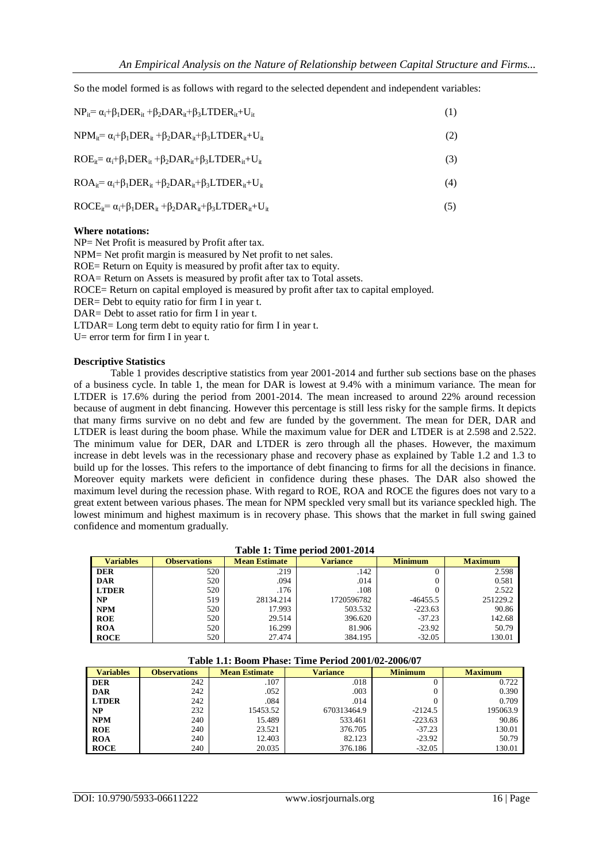So the model formed is as follows with regard to the selected dependent and independent variables:

| $NP_{it} = \alpha_i + \beta_i DER_{it} + \beta_2DAR_{it} + \beta_3LTDER_{it} + U_{it}$   | (1) |
|------------------------------------------------------------------------------------------|-----|
| $NPM_{it} = \alpha_i + \beta_i DER_{it} + \beta_2DAR_{it} + \beta_3LTDER_{it} + U_{it}$  | (2) |
| $ROE_{it} = \alpha_i + \beta_i DER_{it} + \beta_2DAR_{it} + \beta_3LTDER_{it} + U_{it}$  | (3) |
| $ROA_{it} = \alpha_i + \beta_1 DER_{it} + \beta_2DAR_{it} + \beta_3LTDER_{it} + U_{it}$  | (4) |
| $ROCE_{it} = \alpha_i + \beta_i DER_{it} + \beta_2DAR_{it} + \beta_3LTDER_{it} + U_{it}$ | (5) |
| $- - - -$                                                                                |     |

## **Where notations:**

NP= Net Profit is measured by Profit after tax.

NPM= Net profit margin is measured by Net profit to net sales. ROE= Return on Equity is measured by profit after tax to equity. ROA= Return on Assets is measured by profit after tax to Total assets. ROCE= Return on capital employed is measured by profit after tax to capital employed.

DER= Debt to equity ratio for firm I in year t.

DAR= Debt to asset ratio for firm I in year t.

LTDAR= Long term debt to equity ratio for firm I in year t.

U= error term for firm I in year t.

#### **Descriptive Statistics**

Table 1 provides descriptive statistics from year 2001-2014 and further sub sections base on the phases of a business cycle. In table 1, the mean for DAR is lowest at 9.4% with a minimum variance. The mean for LTDER is 17.6% during the period from 2001-2014. The mean increased to around 22% around recession because of augment in debt financing. However this percentage is still less risky for the sample firms. It depicts that many firms survive on no debt and few are funded by the government. The mean for DER, DAR and LTDER is least during the boom phase. While the maximum value for DER and LTDER is at 2.598 and 2.522. The minimum value for DER, DAR and LTDER is zero through all the phases. However, the maximum increase in debt levels was in the recessionary phase and recovery phase as explained by Table 1.2 and 1.3 to build up for the losses. This refers to the importance of debt financing to firms for all the decisions in finance. Moreover equity markets were deficient in confidence during these phases. The DAR also showed the maximum level during the recession phase. With regard to ROE, ROA and ROCE the figures does not vary to a great extent between various phases. The mean for NPM speckled very small but its variance speckled high. The lowest minimum and highest maximum is in recovery phase. This shows that the market in full swing gained confidence and momentum gradually.

# **Table 1: Time period 2001-2014**

| <b>Variables</b> | <b>Observations</b> | <b>Mean Estimate</b> | <b>Variance</b> | <b>Minimum</b> | <b>Maximum</b> |  |
|------------------|---------------------|----------------------|-----------------|----------------|----------------|--|
| <b>DER</b>       | 520                 | .219                 | .142            | ,,             | 2.598          |  |
| <b>DAR</b>       | 520                 | .094                 | .014            |                | 0.581          |  |
| <b>LTDER</b>     | 520                 | .176                 | .108            |                | 2.522          |  |
| NP               | 519                 | 28134.214            | 1720596782      | $-46455.5$     | 251229.2       |  |
| <b>NPM</b>       | 520                 | 17.993               | 503.532         | $-223.63$      | 90.86          |  |
| ROE              | 520                 | 29.514               | 396.620         | $-37.23$       | 142.68         |  |
| <b>ROA</b>       | 520                 | 16.299               | 81.906          | $-23.92$       | 50.79          |  |
| <b>ROCE</b>      | 520                 | 27.474               | 384.195         | $-32.05$       | 130.01         |  |

#### **Table 1.1: Boom Phase: Time Period 2001/02-2006/07**

| <b>Variables</b> | <b>Observations</b> | <b>Mean Estimate</b> | <b>Variance</b> | <b>Minimum</b> | <b>Maximum</b> |  |
|------------------|---------------------|----------------------|-----------------|----------------|----------------|--|
| <b>DER</b>       | 242                 | .107                 | .018            |                | 0.722          |  |
| <b>DAR</b>       | 242                 | .052                 | .003            |                | 0.390          |  |
| <b>LTDER</b>     | 242                 | .084                 | .014            |                | 0.709          |  |
| NP               | 232                 | 15453.52             | 670313464.9     | $-2124.5$      | 195063.9       |  |
| <b>NPM</b>       | 240                 | 15.489               | 533.461         | $-223.63$      | 90.86          |  |
| <b>ROE</b>       | 240                 | 23.521               | 376.705         | $-37.23$       | 130.01         |  |
| <b>ROA</b>       | 240                 | 12.403               | 82.123          | $-23.92$       | 50.79          |  |
| <b>ROCE</b>      | 240                 | 20.035               | 376.186         | $-32.05$       | 130.01         |  |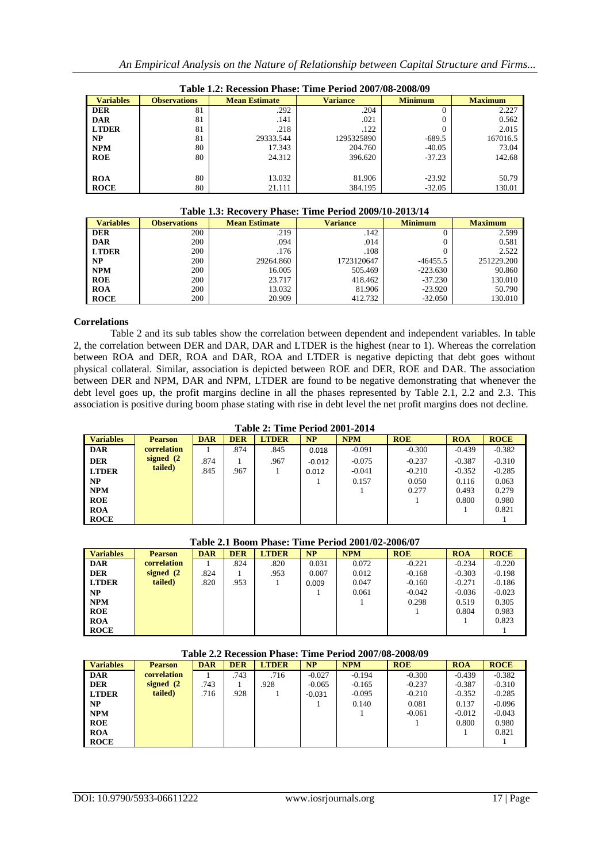| Table 1.2: Recession Phase: Time Period 2007/08-2008/09 |                     |                      |                 |                |                |  |  |  |  |  |  |  |  |
|---------------------------------------------------------|---------------------|----------------------|-----------------|----------------|----------------|--|--|--|--|--|--|--|--|
| <b>Variables</b>                                        | <b>Observations</b> | <b>Mean Estimate</b> | <b>Variance</b> | <b>Minimum</b> | <b>Maximum</b> |  |  |  |  |  |  |  |  |
| <b>DER</b>                                              | 81                  | .292                 | .204            |                | 2.227          |  |  |  |  |  |  |  |  |
| <b>DAR</b>                                              | 81                  | .141                 | .021            |                | 0.562          |  |  |  |  |  |  |  |  |
| <b>LTDER</b>                                            | 81                  | .218                 | .122            |                | 2.015          |  |  |  |  |  |  |  |  |
| <b>NP</b>                                               | 81                  | 29333.544            | 1295325890      | $-689.5$       | 167016.5       |  |  |  |  |  |  |  |  |
| <b>NPM</b>                                              | 80                  | 17.343               | 204.760         | $-40.05$       | 73.04          |  |  |  |  |  |  |  |  |
| <b>ROE</b>                                              | 80                  | 24.312               | 396.620         | $-37.23$       | 142.68         |  |  |  |  |  |  |  |  |
|                                                         |                     |                      |                 |                |                |  |  |  |  |  |  |  |  |
| <b>ROA</b>                                              | 80                  | 13.032               | 81.906          | $-23.92$       | 50.79          |  |  |  |  |  |  |  |  |
| <b>ROCE</b>                                             | 80                  | 21.111               | 384.195         | $-32.05$       | 130.01         |  |  |  |  |  |  |  |  |

## **Table 1.3: Recovery Phase: Time Period 2009/10-2013/14**

|                  | A WAA'U AND ANDOO I DE LA AMADDE AANNO A DAADA'U AHADDEE I |                      |            |                |                |  |  |  |  |  |  |  |
|------------------|------------------------------------------------------------|----------------------|------------|----------------|----------------|--|--|--|--|--|--|--|
| <b>Variables</b> | <b>Observations</b>                                        | <b>Mean Estimate</b> |            | <b>Minimum</b> | <b>Maximum</b> |  |  |  |  |  |  |  |
| <b>DER</b>       | 200                                                        | .219                 | .142       |                | 2.599          |  |  |  |  |  |  |  |
| l DAR            | 200                                                        | .094                 | .014       |                | 0.581          |  |  |  |  |  |  |  |
| <b>LTDER</b>     | 200                                                        | .176                 | .108       |                | 2.522          |  |  |  |  |  |  |  |
| l NP             | 200                                                        | 29264.860            | 1723120647 | $-46455.5$     | 251229.200     |  |  |  |  |  |  |  |
| <b>NPM</b>       | 200                                                        | 16.005               | 505.469    | $-223.630$     | 90.860         |  |  |  |  |  |  |  |
| <b>ROE</b>       | 200                                                        | 23.717               | 418.462    | $-37.230$      | 130.010        |  |  |  |  |  |  |  |
| ROA              | 200                                                        | 13.032               | 81.906     | $-23.920$      | 50.790         |  |  |  |  |  |  |  |
| <b>ROCE</b>      | 200                                                        | 20.909               | 412.732    | $-32.050$      | 130.010        |  |  |  |  |  |  |  |

## **Correlations**

Table 2 and its sub tables show the correlation between dependent and independent variables. In table 2, the correlation between DER and DAR, DAR and LTDER is the highest (near to 1). Whereas the correlation between ROA and DER, ROA and DAR, ROA and LTDER is negative depicting that debt goes without physical collateral. Similar, association is depicted between ROE and DER, ROE and DAR. The association between DER and NPM, DAR and NPM, LTDER are found to be negative demonstrating that whenever the debt level goes up, the profit margins decline in all the phases represented by Table 2.1, 2.2 and 2.3. This association is positive during boom phase stating with rise in debt level the net profit margins does not decline.

#### **Table 2: Time Period 2001-2014**

| <b>Variables</b> | <b>Pearson</b> | <b>DAR</b> | <b>DER</b> | <b>LTDER</b> | <b>NP</b> | <b>NPM</b> | <b>ROE</b> | <b>ROA</b> | <b>ROCE</b> |
|------------------|----------------|------------|------------|--------------|-----------|------------|------------|------------|-------------|
| <b>DAR</b>       | correlation    |            | .874       | .845         | 0.018     | $-0.091$   | $-0.300$   | $-0.439$   | $-0.382$    |
| <b>DER</b>       | signed $(2)$   | .874       |            | .967         | $-0.012$  | $-0.075$   | $-0.237$   | $-0.387$   | $-0.310$    |
| <b>LTDER</b>     | tailed)        | .845       | .967       |              | 0.012     | $-0.041$   | $-0.210$   | $-0.352$   | $-0.285$    |
| NP               |                |            |            |              |           | 0.157      | 0.050      | 0.116      | 0.063       |
| <b>NPM</b>       |                |            |            |              |           |            | 0.277      | 0.493      | 0.279       |
| <b>ROE</b>       |                |            |            |              |           |            |            | 0.800      | 0.980       |
| <b>ROA</b>       |                |            |            |              |           |            |            |            | 0.821       |
| <b>ROCE</b>      |                |            |            |              |           |            |            |            |             |

# **Table 2.1 Boom Phase: Time Period 2001/02-2006/07**

| <b>Variables</b> | <b>Pearson</b> | <b>DAR</b> | <b>DER</b> | <b>LTDER</b> | NP    | <b>NPM</b> | <b>ROE</b> | <b>ROA</b> | <b>ROCE</b> |
|------------------|----------------|------------|------------|--------------|-------|------------|------------|------------|-------------|
| <b>DAR</b>       | correlation    |            | .824       | .820         | 0.031 | 0.072      | $-0.221$   | $-0.234$   | $-0.220$    |
| <b>DER</b>       | signed $(2)$   | .824       |            | .953         | 0.007 | 0.012      | $-0.168$   | $-0.303$   | $-0.198$    |
| <b>LTDER</b>     | tailed)        | .820       | .953       |              | 0.009 | 0.047      | $-0.160$   | $-0.271$   | $-0.186$    |
| NP               |                |            |            |              |       | 0.061      | $-0.042$   | $-0.036$   | $-0.023$    |
| <b>NPM</b>       |                |            |            |              |       |            | 0.298      | 0.519      | 0.305       |
| <b>ROE</b>       |                |            |            |              |       |            |            | 0.804      | 0.983       |
| <b>ROA</b>       |                |            |            |              |       |            |            |            | 0.823       |
| <b>ROCE</b>      |                |            |            |              |       |            |            |            |             |

#### **Table 2.2 Recession Phase: Time Period 2007/08-2008/09**

| <b>Variables</b> | <b>Pearson</b> | <b>DAR</b> | <b>DER</b> | <b>LTDER</b> | NP       | <b>NPM</b> | <b>ROE</b> | <b>ROA</b> | <b>ROCE</b> |
|------------------|----------------|------------|------------|--------------|----------|------------|------------|------------|-------------|
| <b>DAR</b>       | correlation    |            | .743       | .716         | $-0.027$ | $-0.194$   | $-0.300$   | $-0.439$   | $-0.382$    |
| <b>DER</b>       | signed $(2)$   | .743       |            | .928         | $-0.065$ | $-0.165$   | $-0.237$   | $-0.387$   | $-0.310$    |
| <b>LTDER</b>     | tailed)        | .716       | .928       |              | $-0.031$ | $-0.095$   | $-0.210$   | $-0.352$   | $-0.285$    |
| $\mathbf{NP}$    |                |            |            |              |          | 0.140      | 0.081      | 0.137      | $-0.096$    |
| <b>NPM</b>       |                |            |            |              |          |            | $-0.061$   | $-0.012$   | $-0.043$    |
| <b>ROE</b>       |                |            |            |              |          |            |            | 0.800      | 0.980       |
| <b>ROA</b>       |                |            |            |              |          |            |            |            | 0.821       |
| <b>ROCE</b>      |                |            |            |              |          |            |            |            |             |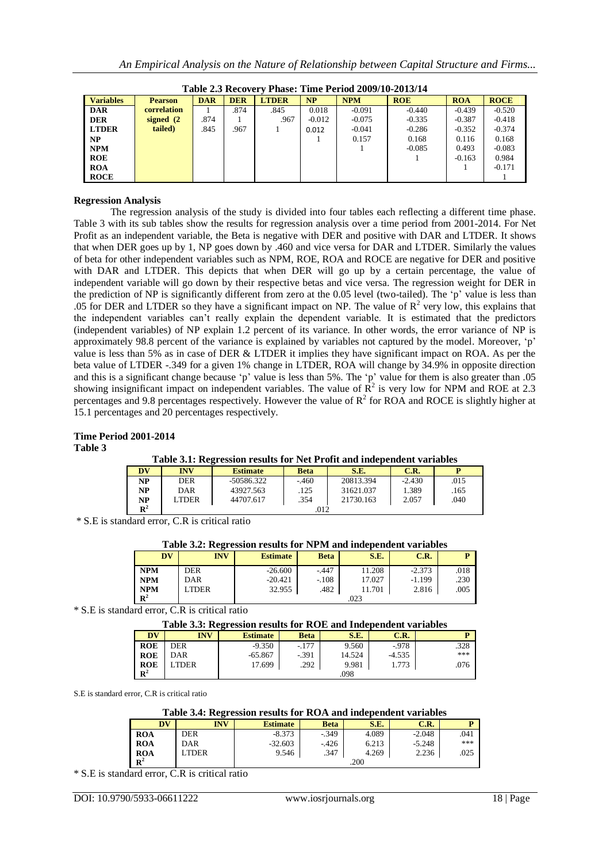| Table 2.3 Recovery Phase: Time Period 2009/10-2013/14 |                |            |            |              |           |            |            |            |             |  |  |  |
|-------------------------------------------------------|----------------|------------|------------|--------------|-----------|------------|------------|------------|-------------|--|--|--|
| <b>Variables</b>                                      | <b>Pearson</b> | <b>DAR</b> | <b>DER</b> | <b>LTDER</b> | <b>NP</b> | <b>NPM</b> | <b>ROE</b> | <b>ROA</b> | <b>ROCE</b> |  |  |  |
| <b>DAR</b>                                            | correlation    |            | .874       | .845         | 0.018     | $-0.091$   | $-0.440$   | $-0.439$   | $-0.520$    |  |  |  |
| <b>DER</b>                                            | signed $(2)$   | .874       |            | .967         | $-0.012$  | $-0.075$   | $-0.335$   | $-0.387$   | $-0.418$    |  |  |  |
| <b>LTDER</b>                                          | tailed)        | .845       | .967       |              | 0.012     | $-0.041$   | $-0.286$   | $-0.352$   | $-0.374$    |  |  |  |
| NP                                                    |                |            |            |              |           | 0.157      | 0.168      | 0.116      | 0.168       |  |  |  |
| <b>NPM</b>                                            |                |            |            |              |           |            | $-0.085$   | 0.493      | $-0.083$    |  |  |  |
| <b>ROE</b>                                            |                |            |            |              |           |            |            | $-0.163$   | 0.984       |  |  |  |
| <b>ROA</b>                                            |                |            |            |              |           |            |            |            | $-0.171$    |  |  |  |
| <b>ROCE</b>                                           |                |            |            |              |           |            |            |            |             |  |  |  |

**Table 2.3 Recovery Phase: Time Period 2009/10-2013/14**

# **Regression Analysis**

The regression analysis of the study is divided into four tables each reflecting a different time phase. Table 3 with its sub tables show the results for regression analysis over a time period from 2001-2014. For Net Profit as an independent variable, the Beta is negative with DER and positive with DAR and LTDER. It shows that when DER goes up by 1, NP goes down by .460 and vice versa for DAR and LTDER. Similarly the values of beta for other independent variables such as NPM, ROE, ROA and ROCE are negative for DER and positive with DAR and LTDER. This depicts that when DER will go up by a certain percentage, the value of independent variable will go down by their respective betas and vice versa. The regression weight for DER in the prediction of NP is significantly different from zero at the 0.05 level (two-tailed). The 'p' value is less than .05 for DER and LTDER so they have a significant impact on NP. The value of  $R^2$  very low, this explains that the independent variables can"t really explain the dependent variable. It is estimated that the predictors (independent variables) of NP explain 1.2 percent of its variance. In other words, the error variance of NP is approximately 98.8 percent of the variance is explained by variables not captured by the model. Moreover, "p" value is less than 5% as in case of DER & LTDER it implies they have significant impact on ROA. As per the beta value of LTDER -.349 for a given 1% change in LTDER, ROA will change by 34.9% in opposite direction and this is a significant change because "p" value is less than 5%. The "p" value for them is also greater than .05 showing insignificant impact on independent variables. The value of  $\mathbb{R}^2$  is very low for NPM and ROE at 2.3 percentages and 9.8 percentages respectively. However the value of  $R^2$  for ROA and ROCE is slightly higher at 15.1 percentages and 20 percentages respectively.

## **Time Period 2001-2014 Table 3**

## **Table 3.1: Regression results for Net Profit and independent variables**

| DV             | INV   | <b>Estimate</b> | Beta    | S.E.      | C.R.     |      |  |  |
|----------------|-------|-----------------|---------|-----------|----------|------|--|--|
| NP             | DER   | -50586.322      | $-.460$ | 20813.394 | $-2.430$ | .015 |  |  |
| NP             | DAR   | 43927.563       | .125    | 31621.037 | 1.389    | .165 |  |  |
| NP             | LTDER | 44707.617       | .354    | 21730.163 | 2.057    | .040 |  |  |
| $\mathbf{R}^2$ |       | .012            |         |           |          |      |  |  |

\* S.E is standard error, C.R is critical ratio

# **Table 3.2: Regression results for NPM and independent variables**

| DV          | <b>INV</b>  | <b>Estimate</b> | <b>Beta</b> | S.E.   | C.R.     |      |
|-------------|-------------|-----------------|-------------|--------|----------|------|
| <b>NPM</b>  | DER         | $-26.600$       | $-.447$     | 11.208 | $-2.373$ | .018 |
| <b>NPM</b>  | DAR         | $-20.421$       | $-.108$     | 17.027 | $-1.199$ | .230 |
| <b>NPM</b>  | <b>TDER</b> | 32.955          | .482        | 11.701 | 2.816    | .005 |
| ${\bf R}^2$ |             | .023            |             |        |          |      |

\* S.E is standard error, C.R is critical ratio

**Table 3.3: Regression results for ROE and Independent variables**

|                |            | -               |             |        |          |      |
|----------------|------------|-----------------|-------------|--------|----------|------|
| <b>DV</b>      | <b>INV</b> | <b>Estimate</b> | <b>Beta</b> | S.E.   | C.R.     |      |
| <b>ROE</b>     | <b>DER</b> | $-9.350$        | $-.177$     | 9.560  | $-978$   | .328 |
| <b>ROE</b>     | DAR        | $-65.867$       | $-.391$     | 14.524 | $-4.535$ | ***  |
| <b>ROE</b>     | TDER       | 17.699          | .292        | 9.981  | 1.773    | .076 |
| $\mathbb{R}^2$ |            |                 |             | .098   |          |      |

S.E is standard error, C.R is critical ratio

#### **Table 3.4: Regression results for ROA and independent variables**

| $\overline{\mathbf{D}}\overline{\mathbf{V}}$ | <b>INV</b> | <b>Estimate</b> | <b>Beta</b> | S.E.  | C.R.     |      |
|----------------------------------------------|------------|-----------------|-------------|-------|----------|------|
| <b>ROA</b>                                   | <b>DER</b> | $-8.373$        | $-.349$     | 4.089 | $-2.048$ | .041 |
| <b>ROA</b>                                   | DAR        | $-32.603$       | $-426$      | 6.213 | $-5.248$ | ***  |
| <b>ROA</b>                                   | LTDER      | 9.546           | .347        | 4.269 | 2.236    | .025 |
| $\mathbb{R}^2$                               |            |                 |             | .200  |          |      |

\* S.E is standard error, C.R is critical ratio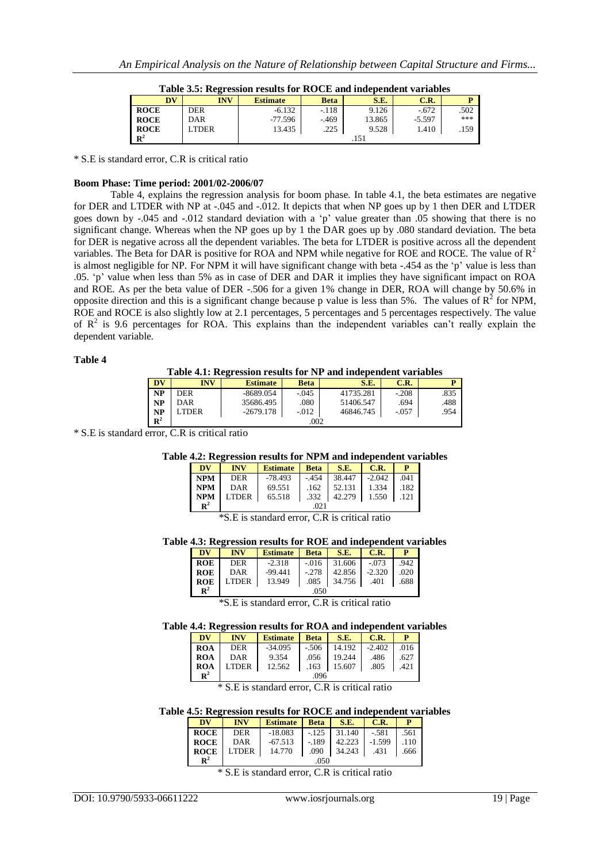|                                   | Table 3.5: Regression results for ROCE and independent variables |                 |             |        |          |      |  |  |  |
|-----------------------------------|------------------------------------------------------------------|-----------------|-------------|--------|----------|------|--|--|--|
| $\overline{\mathbf{D}}\mathbf{V}$ | <b>INV</b>                                                       | <b>Estimate</b> | <b>Beta</b> | S.E.   | C.R.     |      |  |  |  |
| <b>ROCE</b>                       | <b>DER</b>                                                       | $-6.132$        | $-.118$     | 9.126  | $-.672$  | .502 |  |  |  |
| <b>ROCE</b>                       | DAR                                                              | $-77.596$       | $-469$      | 13.865 | $-5.597$ | ***  |  |  |  |
| <b>ROCE</b>                       | LTDER                                                            | 13.435          | .225        | 9.528  | 1.410    | .159 |  |  |  |
| $\mathbb{R}^2$                    |                                                                  |                 |             |        |          |      |  |  |  |

\* S.E is standard error, C.R is critical ratio

#### **Boom Phase: Time period: 2001/02-2006/07**

Table 4, explains the regression analysis for boom phase. In table 4.1, the beta estimates are negative for DER and LTDER with NP at -.045 and -.012. It depicts that when NP goes up by 1 then DER and LTDER goes down by -.045 and -.012 standard deviation with a 'p' value greater than .05 showing that there is no significant change. Whereas when the NP goes up by 1 the DAR goes up by .080 standard deviation. The beta for DER is negative across all the dependent variables. The beta for LTDER is positive across all the dependent variables. The Beta for DAR is positive for ROA and NPM while negative for ROE and ROCE. The value of  $R^2$ is almost negligible for NP. For NPM it will have significant change with beta -.454 as the 'p' value is less than .05. "p" value when less than 5% as in case of DER and DAR it implies they have significant impact on ROA and ROE. As per the beta value of DER -.506 for a given 1% change in DER, ROA will change by 50.6% in opposite direction and this is a significant change because p value is less than 5%. The values of  $R^2$  for NPM, ROE and ROCE is also slightly low at 2.1 percentages, 5 percentages and 5 percentages respectively. The value of  $R^2$  is 9.6 percentages for ROA. This explains than the independent variables can't really explain the dependent variable.

#### **Table 4**

#### **Table 4.1: Regression results for NP and independent variables**

|             | Table 7.1. INCRESSION FESURS FOR THE AIRCRITIGATION VALIABLES |                 |             |           |         |      |  |  |  |
|-------------|---------------------------------------------------------------|-----------------|-------------|-----------|---------|------|--|--|--|
| DV          | INV                                                           | <b>Estimate</b> | <b>Beta</b> | S.E.      | C.R.    |      |  |  |  |
| NP          | DER                                                           | $-8689.054$     | $-.045$     | 41735.281 | $-.208$ | .835 |  |  |  |
| NP          | DAR                                                           | 35686.495       | .080        | 51406.547 | .694    | .488 |  |  |  |
| NP          | <b>TDER</b>                                                   | $-2679.178$     | $-0.012$    | 46846.745 | $-.057$ | .954 |  |  |  |
| ${\bf R}^2$ | .002                                                          |                 |             |           |         |      |  |  |  |

\* S.E is standard error, C.R is critical ratio

## **Table 4.2: Regression results for NPM and independent variables**

| DV             | <b>INV</b>   | <b>Estimate</b> | <b>Beta</b> | S.E.   | C.R.     |      |  |  |
|----------------|--------------|-----------------|-------------|--------|----------|------|--|--|
| <b>NPM</b>     | <b>DER</b>   | $-78.493$       | $-454$      | 38.447 | $-2.042$ | .041 |  |  |
| <b>NPM</b>     | DAR          | 69.551          | .162        | 52.131 | 1.334    | .182 |  |  |
| <b>NPM</b>     | <b>LTDER</b> | 65.518          | .332        | 42.279 | 1.550    | .121 |  |  |
| $\mathbb{R}^2$ |              | 02.1            |             |        |          |      |  |  |

\*S.E is standard error, C.R is critical ratio

## **Table 4.3: Regression results for ROE and independent variables**

| DV             | <b>INV</b> | <b>Estimate Beta</b> S.E. C.R.              |  |                              |  |  |  |  |
|----------------|------------|---------------------------------------------|--|------------------------------|--|--|--|--|
| <b>ROE</b>     | DER        | $-2.318$                                    |  | $-0.016$ 31.606 $-0.073$ 942 |  |  |  |  |
| ROE 1          | DAR        | $-99.441$ $-.278$ $42.856$ $-.2.320$ $.020$ |  |                              |  |  |  |  |
|                | ROE LTDER  | 13.949                                      |  | $.085$ 34.756 401 688        |  |  |  |  |
| $\mathbf{R}^2$ | 050        |                                             |  |                              |  |  |  |  |

\*S.E is standard error, C.R is critical ratio

## **Table 4.4: Regression results for ROA and independent variables**

| DV             | <b>INV</b> | Estimate Beta S.E. |      |                                   | $\mathsf{C}.\mathsf{R}$ . | P    |
|----------------|------------|--------------------|------|-----------------------------------|---------------------------|------|
| <b>ROA</b>     | <b>DER</b> | $-34.095$          |      | $-506$   14.192   $-2.402$   0.16 |                           |      |
| I ROA          | DAR        | 9.354              | .056 | 19.244                            | .486                      | .627 |
| I ROA          | LTDER      | 12.562             |      | $.163$ 15.607                     | .805                      | .421 |
| $\mathbb{R}^2$ |            |                    | .096 |                                   |                           |      |

\* S.E is standard error, C.R is critical ratio

## **Table 4.5: Regression results for ROCE and independent variables**

| DV          | <b>INV</b> | Estimate Beta S.E.                 |  |                           | $\blacksquare$ C.R. |       |  |
|-------------|------------|------------------------------------|--|---------------------------|---------------------|-------|--|
| <b>ROCE</b> | <b>DER</b> | $-18.083$ $-.125$ 31.140 $-.581$   |  |                           |                     | .561  |  |
| ROCE        | DAR        | $-67.513$ $-189$ $42.223$ $-1.599$ |  |                           |                     | 1.110 |  |
| <b>ROCE</b> | LTDER      | 14.770                             |  | $.090 \quad 34.243 \quad$ | .431                | .666  |  |
| ${\bf p}^2$ | 050        |                                    |  |                           |                     |       |  |

\* S.E is standard error, C.R is critical ratio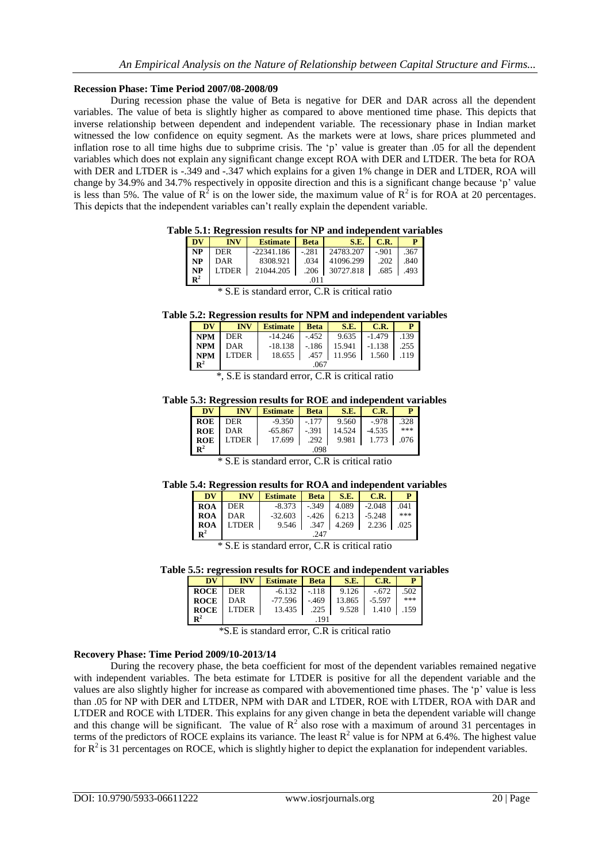## **Recession Phase: Time Period 2007/08-2008/09**

During recession phase the value of Beta is negative for DER and DAR across all the dependent variables. The value of beta is slightly higher as compared to above mentioned time phase. This depicts that inverse relationship between dependent and independent variable. The recessionary phase in Indian market witnessed the low confidence on equity segment. As the markets were at lows, share prices plummeted and inflation rose to all time highs due to subprime crisis. The 'p' value is greater than .05 for all the dependent variables which does not explain any significant change except ROA with DER and LTDER. The beta for ROA with DER and LTDER is -.349 and -.347 which explains for a given 1% change in DER and LTDER, ROA will change by 34.9% and 34.7% respectively in opposite direction and this is a significant change because "p" value is less than 5%. The value of  $R^2$  is on the lower side, the maximum value of  $R^2$  is for ROA at 20 percentages. This depicts that the independent variables can"t really explain the dependent variable.

|  |  | Table 5.1: Regression results for NP and independent variables |  |
|--|--|----------------------------------------------------------------|--|
|  |  |                                                                |  |

| DV             | <b>INV</b>   | <b>Estimate</b> | <b>Beta</b> | S.E.      | C.R.    | P    |  |  |
|----------------|--------------|-----------------|-------------|-----------|---------|------|--|--|
| NP             | <b>DER</b>   | $-22341.186$    | $-.281$     | 24783.207 | $-.901$ | .367 |  |  |
| NP             | DAR          | 8308.921        | .034        | 41096.299 | .202    | .840 |  |  |
| NP             | <b>LTDER</b> | 21044.205       | .206        | 30727.818 | .685    | .493 |  |  |
| $\mathbb{R}^2$ |              | 011             |             |           |         |      |  |  |

| * S.E is standard error, C.R is critical ratio |  |
|------------------------------------------------|--|
|------------------------------------------------|--|

**Table 5.2: Regression results for NPM and independent variables**

| DV             | <b>INV</b> | <b>Estimate</b> | Beta   | S.E.   | C.R.           | P    |
|----------------|------------|-----------------|--------|--------|----------------|------|
| <b>NPM</b>     | DER        | -14.246         | $-452$ |        | $9.635$ -1.479 | .139 |
| <b>NPM</b>     | DAR        | $-18.138$       | $-186$ | 15.941 | -1.138         | .255 |
| <b>NPM</b>     | LTDER      | $18.655$ 1      | .457   | 11.956 | 1.560          | .119 |
| $\mathbf{R}^2$ |            |                 | .067   |        |                |      |

\*, S.E is standard error, C.R is critical ratio

**Table 5.3: Regression results for ROE and independent variables**

| <b>DV</b>      | <b>INV</b> | Estimate Beta     |       | <b>S.E.</b> 1 | C.R.                    | P I |  |  |
|----------------|------------|-------------------|-------|---------------|-------------------------|-----|--|--|
| <b>ROE</b>     | DER        | $-9.350$   $-177$ |       | 9.560         | $-978$ 328              |     |  |  |
| <b>ROE</b>     | DAR        | -65.867           | - 391 | 14.524        | $-4.535$ $\blacksquare$ | *** |  |  |
| <b>ROE</b>     | LTDER      | 17.699            | .292  |               | 9.981 1.773 076         |     |  |  |
| $\mathbf{R}^2$ | .098       |                   |       |               |                         |     |  |  |

\* S.E is standard error, C.R is critical ratio

## **Table 5.4: Regression results for ROA and independent variables**

| <b>DV</b>   | <b>INV</b>   | Estimate   Beta   S.E. |      |              | C.R.     | D.   |
|-------------|--------------|------------------------|------|--------------|----------|------|
| <b>ROA</b>  | <b>DER</b>   | $-8.373$               |      | $-349$ 4.089 | $-2.048$ | .041 |
| <b>ROA</b>  | DAR          | $-32.603$              |      | $-426$ 6.213 | $-5.248$ | ***  |
| <b>ROA</b>  | <b>LTDER</b> | 9.546                  | .347 | 4.269        | 2.236    | .025 |
| ${\bf R}^2$ |              |                        | 247  |              |          |      |

\* S.E is standard error, C.R is critical ratio

# **Table 5.5: regression results for ROCE and independent variables**

| $\overline{\mathbf{D}}\mathbf{V}$ | <b>INV</b> | Estimate   Beta  |          | S.E.                                | C.R.                   |      |  |
|-----------------------------------|------------|------------------|----------|-------------------------------------|------------------------|------|--|
| <b>ROCE</b>                       | DER        | $-6.132$ $-.118$ |          | 9.126                               | $-672$                 | .502 |  |
| <b>ROCE</b> DAR                   |            |                  |          | $-77.596$ $-.469$ 13.865 1 $-5.597$ |                        | ***  |  |
| <b>ROCE</b>                       | LTDER      | 13.435           | $.225$ 1 |                                     | $9.528$   1.410   1.59 |      |  |
| $\mathbf{R}^2$                    |            |                  | 191      |                                     |                        |      |  |

\*S.E is standard error, C.R is critical ratio

# **Recovery Phase: Time Period 2009/10-2013/14**

During the recovery phase, the beta coefficient for most of the dependent variables remained negative with independent variables. The beta estimate for LTDER is positive for all the dependent variable and the values are also slightly higher for increase as compared with abovementioned time phases. The "p" value is less than .05 for NP with DER and LTDER, NPM with DAR and LTDER, ROE with LTDER, ROA with DAR and LTDER and ROCE with LTDER. This explains for any given change in beta the dependent variable will change and this change will be significant. The value of  $R^2$  also rose with a maximum of around 31 percentages in terms of the predictors of ROCE explains its variance. The least  $R^2$  value is for NPM at 6.4%. The highest value for  $R^2$  is 31 percentages on ROCE, which is slightly higher to depict the explanation for independent variables.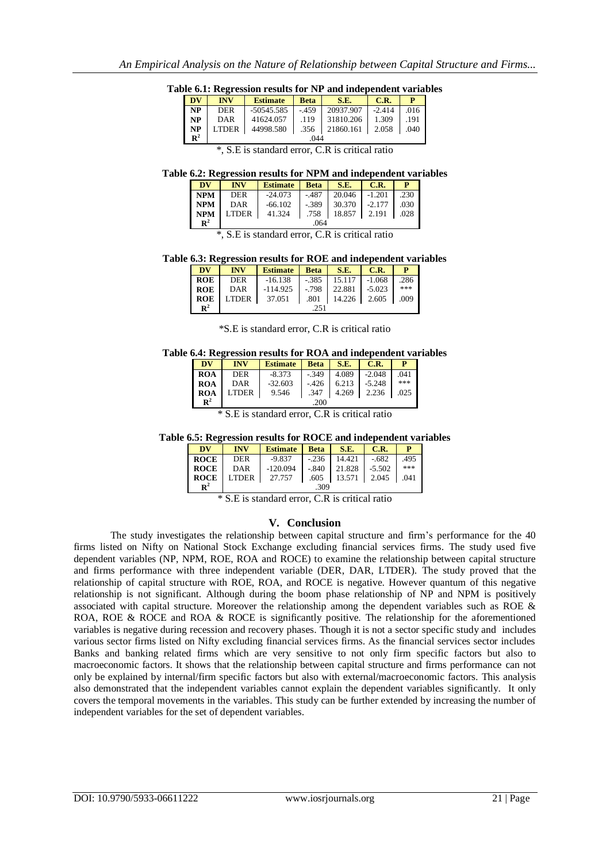**Table 6.1: Regression results for NP and independent variables**

| <b>DV</b>   | <b>INV</b> | <b>Estimate</b> | <b>Beta</b> | S.E.                                    | C.R. | P                    |
|-------------|------------|-----------------|-------------|-----------------------------------------|------|----------------------|
| NP          | <b>DER</b> |                 |             | $-50545.585$ $-.459$ 20937.907 $-.2414$ |      | $\vert$ .016 $\vert$ |
| <b>NP</b>   | DAR        | 41624.057       | .119        | 31810.206 1.309                         |      | .191                 |
| NP          |            | LTDER 44998.580 |             | $.356$   21860.161   2.058   0.40       |      |                      |
| ${\bf R}^2$ |            |                 | 044         |                                         |      |                      |

| *, S.E is standard error, C.R is critical ratio |  |  |  |  |
|-------------------------------------------------|--|--|--|--|
|-------------------------------------------------|--|--|--|--|

**Table 6.2: Regression results for NPM and independent variables**

| DV             | <b>INV</b>   | <b>Estimate</b> | Beta    | <b>S.E.</b>     | C.R.        |      |
|----------------|--------------|-----------------|---------|-----------------|-------------|------|
| <b>NPM</b>     | DER          | -24.073         | $-.487$ | $20.046$ -1.201 |             | .230 |
| <b>NPM</b>     | DAR          | $-66.102$       | -.389   | 30.370          | $1 - 2.177$ | .030 |
| <b>NPM</b>     | <b>LTDER</b> | 41.324          | .758    | 18.857 2.191    |             | .028 |
| $\mathbb{R}^2$ |              |                 | .064    |                 |             |      |

\*, S.E is standard error, C.R is critical ratio

**Table 6.3: Regression results for ROE and independent variables**

| DV             | <b>INV</b>   | <b>Estimate</b> | <b>Beta</b> | S.E.   | C.R.     | р    |
|----------------|--------------|-----------------|-------------|--------|----------|------|
| <b>ROE</b>     | <b>DER</b>   | $-16.138$       | $-.385$     | 15.117 | $-1.068$ | .286 |
| <b>ROE</b>     | DAR          | $-114.925$      | $-0.798$    | 22.881 | $-5.023$ | ***  |
| <b>ROE</b>     | <b>LTDER</b> | 37.051          | .801        | 14.226 | 2.605    | .009 |
| $\mathbb{R}^2$ |              |                 | 251         |        |          |      |

\*S.E is standard error, C.R is critical ratio

**Table 6.4: Regression results for ROA and independent variables**

| DV             | <b>INV</b> | <b>Estimate</b> | <b>Beta</b> | S.E.  | C.R.     |      |
|----------------|------------|-----------------|-------------|-------|----------|------|
| <b>ROA</b>     | <b>DER</b> | $-8.373$        | $-349$      | 4.089 | $-2.048$ | .041 |
| <b>ROA</b>     | DAR        | $-32.603$       | $-426$      | 6.213 | $-5.248$ | ***  |
| <b>ROA</b>     | LTDER      | 9.546           | .347        | 4.269 | 2.236    | .025 |
| $\mathbf{R}^2$ |            |                 | .200        |       |          |      |

\* S.E is standard error, C.R is critical ratio

**Table 6.5: Regression results for ROCE and independent variables**

| <b>DV</b>      | <b>INV</b>          | Estimate Beta S.E.                       |  |                        | $\blacksquare$ C.R. | P                    |  |  |  |
|----------------|---------------------|------------------------------------------|--|------------------------|---------------------|----------------------|--|--|--|
| <b>ROCE</b>    | DER                 | -9.837                                   |  | $-.236$ 14.421 $-.682$ |                     | $\vert$ .495 $\vert$ |  |  |  |
| <b>ROCE</b>    | DAR                 | $-120.094$ $-.840$ $21.828$ $-.5502$ *** |  |                        |                     |                      |  |  |  |
|                | $ROCE$ LTDER 27.757 |                                          |  | .605 13.571 2.045 .041 |                     |                      |  |  |  |
| $\mathbf{R}^2$ |                     | .309                                     |  |                        |                     |                      |  |  |  |

\* S.E is standard error, C.R is critical ratio

# **V. Conclusion**

The study investigates the relationship between capital structure and firm"s performance for the 40 firms listed on Nifty on National Stock Exchange excluding financial services firms. The study used five dependent variables (NP, NPM, ROE, ROA and ROCE) to examine the relationship between capital structure and firms performance with three independent variable (DER, DAR, LTDER). The study proved that the relationship of capital structure with ROE, ROA, and ROCE is negative. However quantum of this negative relationship is not significant. Although during the boom phase relationship of NP and NPM is positively associated with capital structure. Moreover the relationship among the dependent variables such as ROE & ROA, ROE & ROCE and ROA & ROCE is significantly positive. The relationship for the aforementioned variables is negative during recession and recovery phases. Though it is not a sector specific study and includes various sector firms listed on Nifty excluding financial services firms. As the financial services sector includes Banks and banking related firms which are very sensitive to not only firm specific factors but also to macroeconomic factors. It shows that the relationship between capital structure and firms performance can not only be explained by internal/firm specific factors but also with external/macroeconomic factors. This analysis also demonstrated that the independent variables cannot explain the dependent variables significantly. It only covers the temporal movements in the variables. This study can be further extended by increasing the number of independent variables for the set of dependent variables.